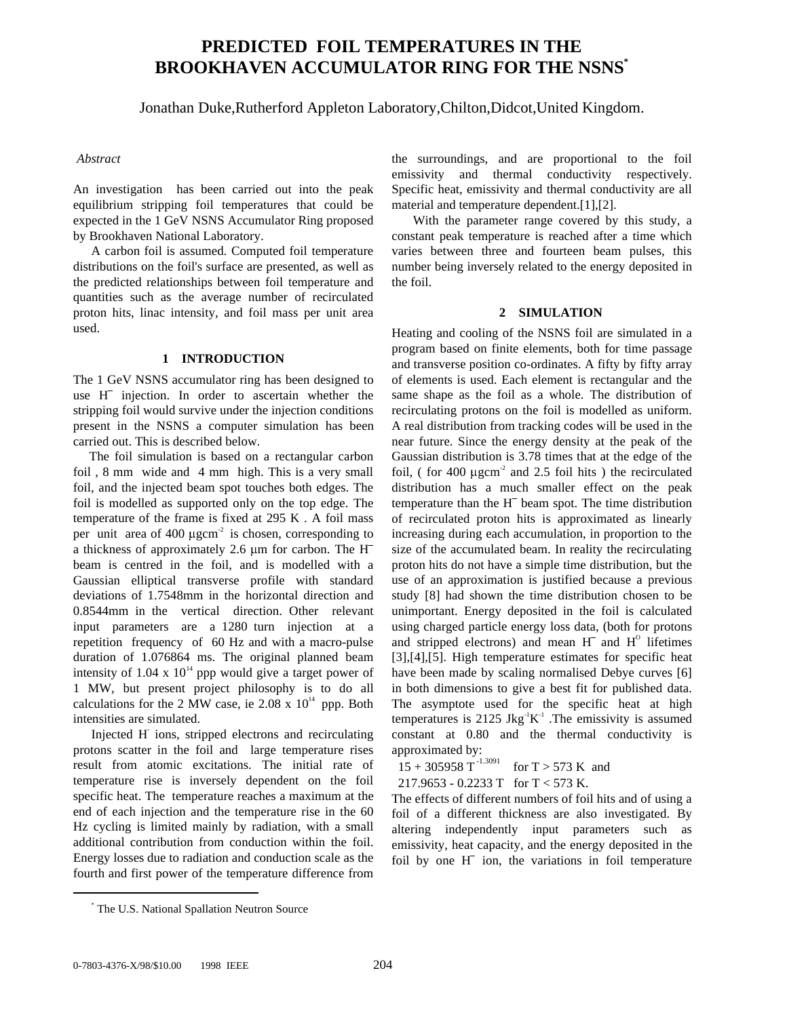# **PREDICTED FOIL TEMPERATURES IN THE BROOKHAVEN ACCUMULATOR RING FOR THE NSNS\***

Jonathan Duke,Rutherford Appleton Laboratory,Chilton,Didcot,United Kingdom.

### *Abstract*

An investigation has been carried out into the peak equilibrium stripping foil temperatures that could be expected in the 1 GeV NSNS Accumulator Ring proposed by Brookhaven National Laboratory.

A carbon foil is assumed. Computed foil temperature distributions on the foil's surface are presented, as well as the predicted relationships between foil temperature and quantities such as the average number of recirculated proton hits, linac intensity, and foil mass per unit area used.

## **1 INTRODUCTION**

The 1 GeV NSNS accumulator ring has been designed to 1 INTRODUCTION<br>The 1 GeV NSNS accumulator ring has been designed to<br>use H<sup>-</sup> injection. In order to ascertain whether the stripping foil would survive under the injection conditions present in the NSNS a computer simulation has been carried out. This is described below.

 The foil simulation is based on a rectangular carbon foil , 8 mm wide and 4 mm high. This is a very small foil, and the injected beam spot touches both edges. The foil is modelled as supported only on the top edge. The temperature of the frame is fixed at 295 K . A foil mass per unit area of 400  $\mu$ gcm<sup>-2</sup> is chosen, corresponding to temperature of the frame is fixed at 295 K. A foil mass<br>per unit area of 400  $\mu$ gcm<sup>-2</sup> is chosen, corresponding to<br>a thickness of approximately 2.6  $\mu$ m for carbon. The H<sup>-</sup> beam is centred in the foil, and is modelled with a Gaussian elliptical transverse profile with standard deviations of 1.7548mm in the horizontal direction and 0.8544mm in the vertical direction. Other relevant input parameters are a 1280 turn injection at a repetition frequency of 60 Hz and with a macro-pulse duration of 1.076864 ms. The original planned beam intensity of 1.04 x  $10^{14}$  ppp would give a target power of 1 MW, but present project philosophy is to do all calculations for the 2 MW case, ie  $2.08 \times 10^{14}$  ppp. Both intensities are simulated.

Injected H- ions, stripped electrons and recirculating protons scatter in the foil and large temperature rises result from atomic excitations. The initial rate of temperature rise is inversely dependent on the foil specific heat. The temperature reaches a maximum at the end of each injection and the temperature rise in the 60 Hz cycling is limited mainly by radiation, with a small additional contribution from conduction within the foil. Energy losses due to radiation and conduction scale as the fourth and first power of the temperature difference from

the surroundings, and are proportional to the foil emissivity and thermal conductivity respectively. Specific heat, emissivity and thermal conductivity are all material and temperature dependent.[1],[2].

 With the parameter range covered by this study, a constant peak temperature is reached after a time which varies between three and fourteen beam pulses, this number being inversely related to the energy deposited in the foil.

## **2 SIMULATION**

Heating and cooling of the NSNS foil are simulated in a program based on finite elements, both for time passage and transverse position co-ordinates. A fifty by fifty array of elements is used. Each element is rectangular and the same shape as the foil as a whole. The distribution of recirculating protons on the foil is modelled as uniform. A real distribution from tracking codes will be used in the near future. Since the energy density at the peak of the Gaussian distribution is 3.78 times that at the edge of the Foil, ( for 400  $\mu$ gcm<sup>-2</sup> and 2.5 foil hits ) the recirculated distribution has a much smaller effect on the peak temperature than the H<sup>-</sup> beam spot. The time distribution distribution has a much smaller effect on the peak temperature than the H<sup>-</sup> beam spot. The time distribution of recirculated proton hits is approximated as linearly increasing during each accumulation, in proportion to the size of the accumulated beam. In reality the recirculating proton hits do not have a simple time distribution, but the use of an approximation is justified because a previous study [8] had shown the time distribution chosen to be unimportant. Energy deposited in the foil is calculated using charged particle energy loss data, (both for protons study [8] had shown the three distribution chosen to be<br>unimportant. Energy deposited in the foil is calculated<br>using charged particle energy loss data, (both for protons<br>and stripped electrons) and mean H<sup>-</sup> and H<sup>o</sup> life [3],[4],[5]. High temperature estimates for specific heat have been made by scaling normalised Debye curves [6] in both dimensions to give a best fit for published data. The asymptote used for the specific heat at high temperatures is 2125 Jkg<sup>-1</sup>K<sup>-1</sup>. The emissivity is assumed constant at 0.80 and the thermal conductivity is approximated by:

 $15 + 305958$  T<sup>-1.3091</sup> for T > 573 K and

217.9653 - 0.2233 T for T < 573 K.

The effects of different numbers of foil hits and of using a foil of a different thickness are also investigated. By altering independently input parameters such as emissivity, heat capacity, and the energy deposited in the foil of a unterent unckness are also investigated. By<br>altering independently input parameters such as<br>emissivity, heat capacity, and the energy deposited in the<br>foil by one H<sup>-</sup> ion, the variations in foil temperature

\*

The U.S. National Spallation Neutron Source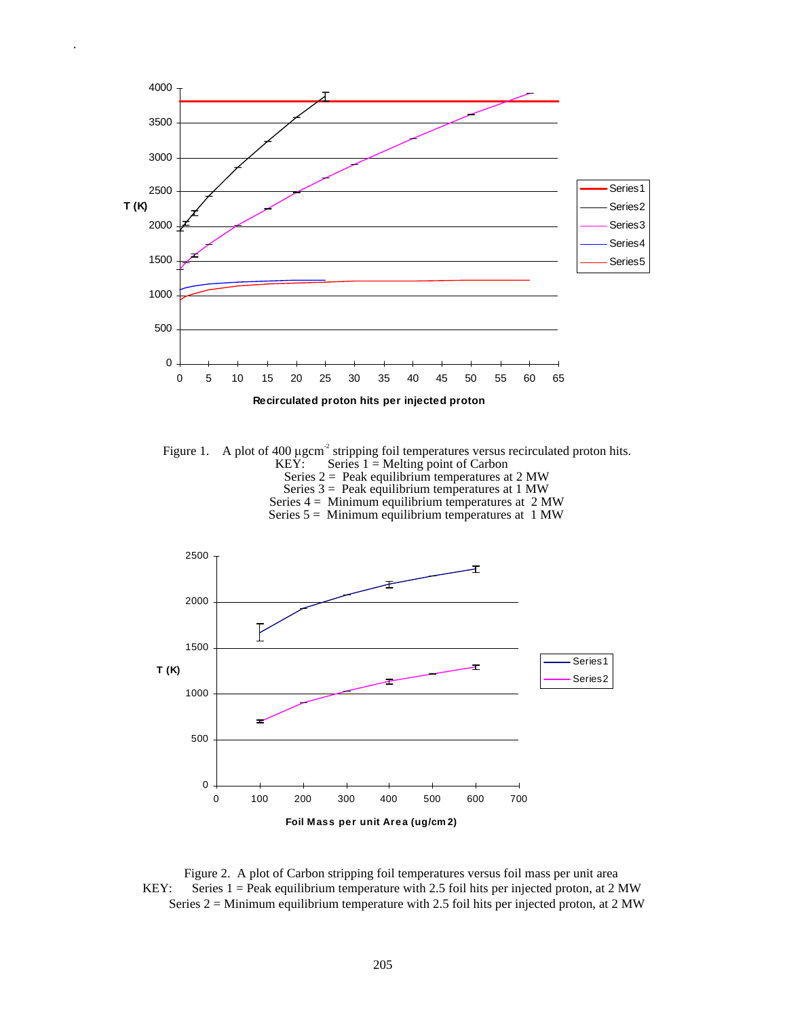

.

Figure 1. A plot of 400  $\mu$ gcm<sup>-2</sup> stripping foil temperatures versus recirculated proton hits.<br>KEY: Series 1 = Melting point of Carbon Series  $1 =$  Melting point of Carbon Series  $2 =$  Peak equilibrium temperatures at 2 MW Series  $3 =$  Peak equilibrium temperatures at 1 MW Series  $4 =$  Minimum equilibrium temperatures at  $2$  MW

Series  $5 =$  Minimum equilibrium temperatures at 1 MW



 Figure 2. A plot of Carbon stripping foil temperatures versus foil mass per unit area KEY: Series 1 = Peak equilibrium temperature with 2.5 foil hits per injected proton, at 2 MW Series  $2 =$  Minimum equilibrium temperature with 2.5 foil hits per injected proton, at 2 MW